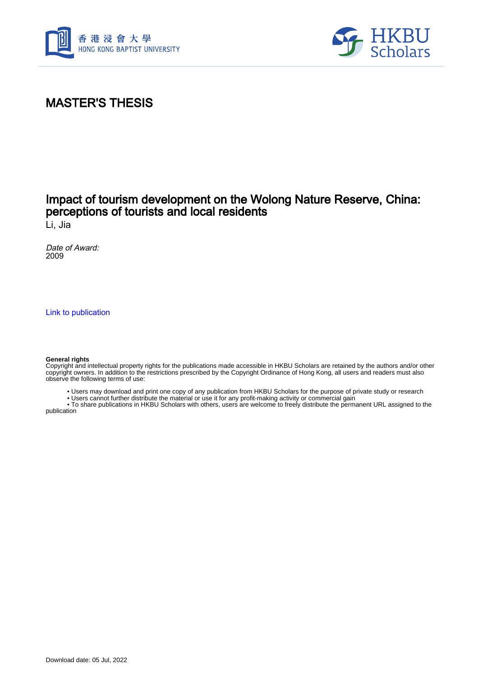



## MASTER'S THESIS

### Impact of tourism development on the Wolong Nature Reserve, China: perceptions of tourists and local residents

Li, Jia

Date of Award: 2009

[Link to publication](https://scholars.hkbu.edu.hk/en/studentTheses/dc957467-cd36-4efb-9a54-215756f2f863)

#### **General rights**

Copyright and intellectual property rights for the publications made accessible in HKBU Scholars are retained by the authors and/or other copyright owners. In addition to the restrictions prescribed by the Copyright Ordinance of Hong Kong, all users and readers must also observe the following terms of use:

- Users may download and print one copy of any publication from HKBU Scholars for the purpose of private study or research
- Users cannot further distribute the material or use it for any profit-making activity or commercial gain

 • To share publications in HKBU Scholars with others, users are welcome to freely distribute the permanent URL assigned to the publication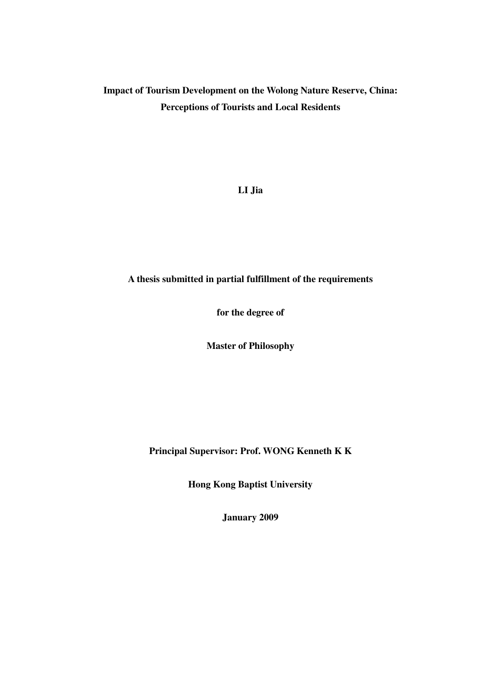### **Impact of Tourism Development on the Wolong Nature Reserve, China: Perceptions of Tourists and Local Residents**

**LI Jia** 

### **A thesis submitted in partial fulfillment of the requirements**

**for the degree of** 

**Master of Philosophy** 

**Principal Supervisor: Prof. WONG Kenneth K K** 

**Hong Kong Baptist University** 

**January 2009**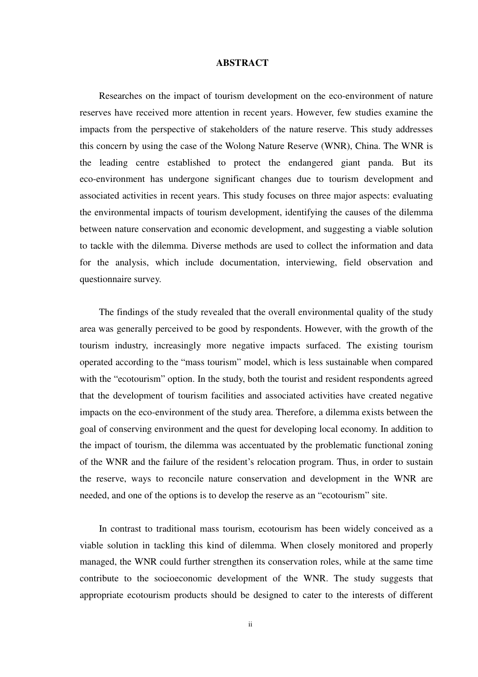#### **ABSTRACT**

Researches on the impact of tourism development on the eco-environment of nature reserves have received more attention in recent years. However, few studies examine the impacts from the perspective of stakeholders of the nature reserve. This study addresses this concern by using the case of the Wolong Nature Reserve (WNR), China. The WNR is the leading centre established to protect the endangered giant panda. But its eco-environment has undergone significant changes due to tourism development and associated activities in recent years. This study focuses on three major aspects: evaluating the environmental impacts of tourism development, identifying the causes of the dilemma between nature conservation and economic development, and suggesting a viable solution to tackle with the dilemma. Diverse methods are used to collect the information and data for the analysis, which include documentation, interviewing, field observation and questionnaire survey.

The findings of the study revealed that the overall environmental quality of the study area was generally perceived to be good by respondents. However, with the growth of the tourism industry, increasingly more negative impacts surfaced. The existing tourism operated according to the "mass tourism" model, which is less sustainable when compared with the "ecotourism" option. In the study, both the tourist and resident respondents agreed that the development of tourism facilities and associated activities have created negative impacts on the eco-environment of the study area. Therefore, a dilemma exists between the goal of conserving environment and the quest for developing local economy. In addition to the impact of tourism, the dilemma was accentuated by the problematic functional zoning of the WNR and the failure of the resident's relocation program. Thus, in order to sustain the reserve, ways to reconcile nature conservation and development in the WNR are needed, and one of the options is to develop the reserve as an "ecotourism" site.

In contrast to traditional mass tourism, ecotourism has been widely conceived as a viable solution in tackling this kind of dilemma. When closely monitored and properly managed, the WNR could further strengthen its conservation roles, while at the same time contribute to the socioeconomic development of the WNR. The study suggests that appropriate ecotourism products should be designed to cater to the interests of different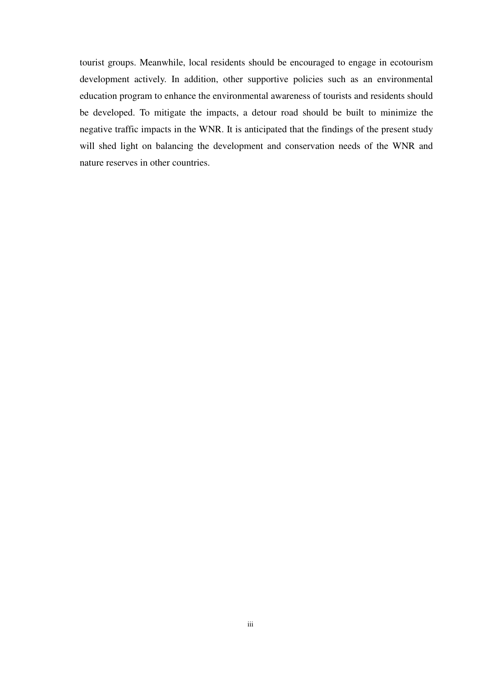tourist groups. Meanwhile, local residents should be encouraged to engage in ecotourism development actively. In addition, other supportive policies such as an environmental education program to enhance the environmental awareness of tourists and residents should be developed. To mitigate the impacts, a detour road should be built to minimize the negative traffic impacts in the WNR. It is anticipated that the findings of the present study will shed light on balancing the development and conservation needs of the WNR and nature reserves in other countries.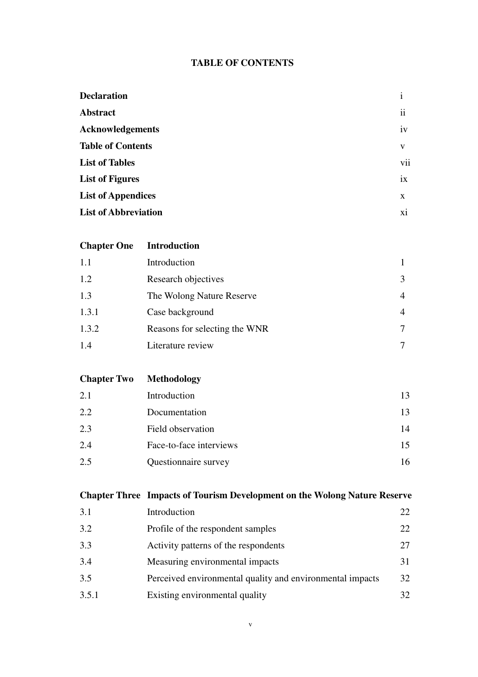### **TABLE OF CONTENTS**

| <b>Declaration</b>          | $\mathbf{1}$        |
|-----------------------------|---------------------|
| <b>Abstract</b>             | $\ddot{\mathbf{i}}$ |
| <b>Acknowledgements</b>     | iv                  |
| <b>Table of Contents</b>    | V                   |
| <b>List of Tables</b>       | vii                 |
| <b>List of Figures</b>      | ix                  |
| <b>List of Appendices</b>   | X                   |
| <b>List of Abbreviation</b> | xi                  |
|                             |                     |

| <b>Chapter One</b> | <b>Introduction</b>           |                |
|--------------------|-------------------------------|----------------|
| 1.1                | Introduction                  |                |
| 1.2                | Research objectives           | 3              |
| 1.3                | The Wolong Nature Reserve     | $\overline{4}$ |
| 1.3.1              | Case background               | $\overline{4}$ |
| 1.3.2              | Reasons for selecting the WNR |                |
| 1.4                | Literature review             |                |

**Chapter Two Methodology**  2.1 Introduction 13 2.2 Documentation 13 2.3 Field observation 14 2.4 Face-to-face interviews 15 2.5 Questionnaire survey 16

# **Chapter Three Impacts of Tourism Development on the Wolong Nature Reserve**  3.1 Introduction 22 3.2 Profile of the respondent samples 22 3.3 Activity patterns of the respondents 27 3.4 Measuring environmental impacts 31 3.5 Perceived environmental quality and environmental impacts 32 3.5.1 Existing environmental quality 32